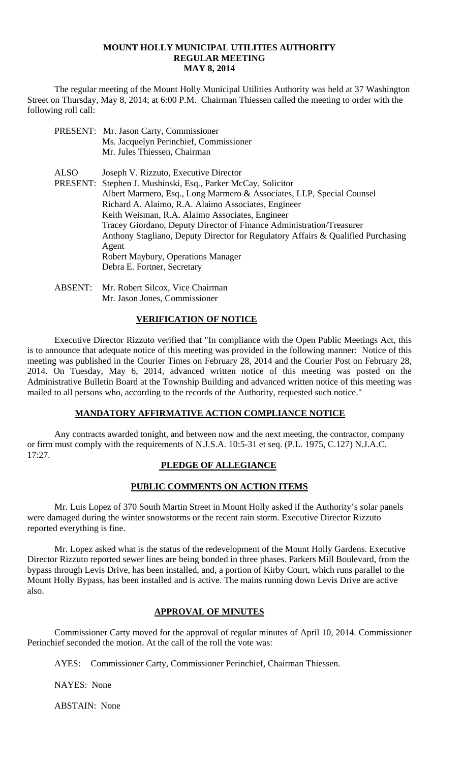#### **MOUNT HOLLY MUNICIPAL UTILITIES AUTHORITY REGULAR MEETING MAY 8, 2014**

 The regular meeting of the Mount Holly Municipal Utilities Authority was held at 37 Washington Street on Thursday, May 8, 2014; at 6:00 P.M. Chairman Thiessen called the meeting to order with the following roll call:

- PRESENT: Mr. Jason Carty, Commissioner Ms. Jacquelyn Perinchief, Commissioner Mr. Jules Thiessen, Chairman
- ALSO Joseph V. Rizzuto, Executive Director PRESENT: Stephen J. Mushinski, Esq., Parker McCay, Solicitor Albert Marmero, Esq., Long Marmero & Associates, LLP, Special Counsel Richard A. Alaimo, R.A. Alaimo Associates, Engineer Keith Weisman, R.A. Alaimo Associates, Engineer Tracey Giordano, Deputy Director of Finance Administration/Treasurer Anthony Stagliano, Deputy Director for Regulatory Affairs & Qualified Purchasing Agent Robert Maybury, Operations Manager Debra E. Fortner, Secretary
- ABSENT: Mr. Robert Silcox, Vice Chairman Mr. Jason Jones, Commissioner

# **VERIFICATION OF NOTICE**

 Executive Director Rizzuto verified that "In compliance with the Open Public Meetings Act, this is to announce that adequate notice of this meeting was provided in the following manner: Notice of this meeting was published in the Courier Times on February 28, 2014 and the Courier Post on February 28, 2014. On Tuesday, May 6, 2014, advanced written notice of this meeting was posted on the Administrative Bulletin Board at the Township Building and advanced written notice of this meeting was mailed to all persons who, according to the records of the Authority, requested such notice."

# **MANDATORY AFFIRMATIVE ACTION COMPLIANCE NOTICE**

 Any contracts awarded tonight, and between now and the next meeting, the contractor, company or firm must comply with the requirements of N.J.S.A. 10:5-31 et seq. (P.L. 1975, C.127) N.J.A.C. 17:27.

# **PLEDGE OF ALLEGIANCE**

# **PUBLIC COMMENTS ON ACTION ITEMS**

 Mr. Luis Lopez of 370 South Martin Street in Mount Holly asked if the Authority's solar panels were damaged during the winter snowstorms or the recent rain storm. Executive Director Rizzuto reported everything is fine.

 Mr. Lopez asked what is the status of the redevelopment of the Mount Holly Gardens. Executive Director Rizzuto reported sewer lines are being bonded in three phases. Parkers Mill Boulevard, from the bypass through Levis Drive, has been installed, and, a portion of Kirby Court, which runs parallel to the Mount Holly Bypass, has been installed and is active. The mains running down Levis Drive are active also.

# **APPROVAL OF MINUTES**

Commissioner Carty moved for the approval of regular minutes of April 10, 2014. Commissioner Perinchief seconded the motion. At the call of the roll the vote was:

AYES: Commissioner Carty, Commissioner Perinchief, Chairman Thiessen.

NAYES: None

ABSTAIN: None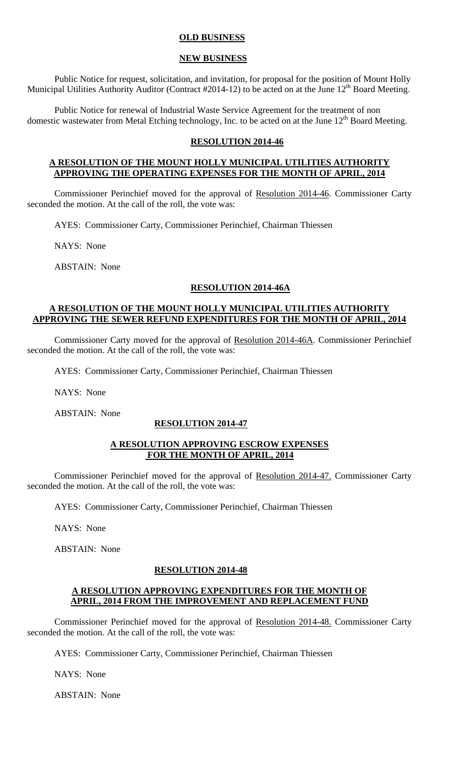# **OLD BUSINESS**

### **NEW BUSINESS**

 Public Notice for request, solicitation, and invitation, for proposal for the position of Mount Holly Municipal Utilities Authority Auditor (Contract #2014-12) to be acted on at the June 12<sup>th</sup> Board Meeting.

 Public Notice for renewal of Industrial Waste Service Agreement for the treatment of non domestic wastewater from Metal Etching technology, Inc. to be acted on at the June  $12<sup>th</sup>$  Board Meeting.

### **RESOLUTION 2014-46**

#### **A RESOLUTION OF THE MOUNT HOLLY MUNICIPAL UTILITIES AUTHORITY APPROVING THE OPERATING EXPENSES FOR THE MONTH OF APRIL, 2014**

Commissioner Perinchief moved for the approval of Resolution 2014-46. Commissioner Carty seconded the motion. At the call of the roll, the vote was:

AYES: Commissioner Carty, Commissioner Perinchief, Chairman Thiessen

NAYS: None

ABSTAIN: None

### **RESOLUTION 2014-46A**

## **A RESOLUTION OF THE MOUNT HOLLY MUNICIPAL UTILITIES AUTHORITY APPROVING THE SEWER REFUND EXPENDITURES FOR THE MONTH OF APRIL, 2014**

Commissioner Carty moved for the approval of Resolution 2014-46A. Commissioner Perinchief seconded the motion. At the call of the roll, the vote was:

AYES: Commissioner Carty, Commissioner Perinchief, Chairman Thiessen

NAYS: None

ABSTAIN: None

### **RESOLUTION 2014-47**

### **A RESOLUTION APPROVING ESCROW EXPENSES FOR THE MONTH OF APRIL, 2014**

Commissioner Perinchief moved for the approval of Resolution 2014-47. Commissioner Carty seconded the motion. At the call of the roll, the vote was:

AYES: Commissioner Carty, Commissioner Perinchief, Chairman Thiessen

NAYS: None

ABSTAIN: None

### **RESOLUTION 2014-48**

### **A RESOLUTION APPROVING EXPENDITURES FOR THE MONTH OF APRIL, 2014 FROM THE IMPROVEMENT AND REPLACEMENT FUND**

Commissioner Perinchief moved for the approval of Resolution 2014-48. Commissioner Carty seconded the motion. At the call of the roll, the vote was:

AYES: Commissioner Carty, Commissioner Perinchief, Chairman Thiessen

NAYS: None

ABSTAIN: None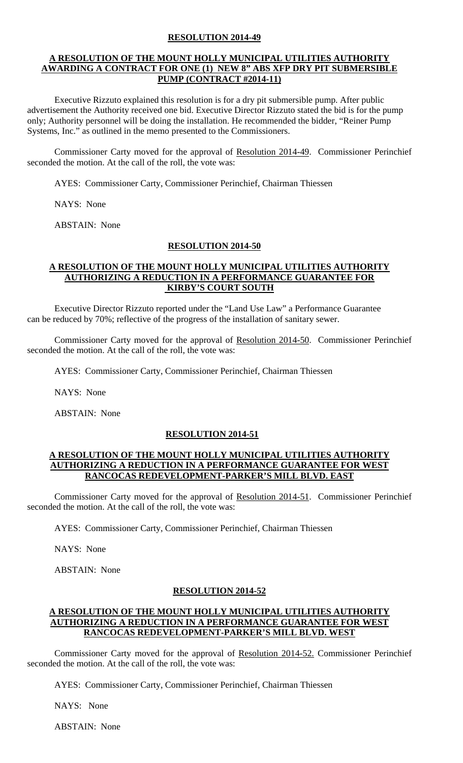# **RESOLUTION 2014-49**

### **A RESOLUTION OF THE MOUNT HOLLY MUNICIPAL UTILITIES AUTHORITY AWARDING A CONTRACT FOR ONE (1) NEW 8" ABS XFP DRY PIT SUBMERSIBLE PUMP (CONTRACT #2014-11)**

 Executive Rizzuto explained this resolution is for a dry pit submersible pump. After public advertisement the Authority received one bid. Executive Director Rizzuto stated the bid is for the pump only; Authority personnel will be doing the installation. He recommended the bidder, "Reiner Pump Systems, Inc." as outlined in the memo presented to the Commissioners.

Commissioner Carty moved for the approval of Resolution 2014-49. Commissioner Perinchief seconded the motion. At the call of the roll, the vote was:

AYES: Commissioner Carty, Commissioner Perinchief, Chairman Thiessen

NAYS: None

ABSTAIN: None

#### **RESOLUTION 2014-50**

## **A RESOLUTION OF THE MOUNT HOLLY MUNICIPAL UTILITIES AUTHORITY AUTHORIZING A REDUCTION IN A PERFORMANCE GUARANTEE FOR KIRBY'S COURT SOUTH**

 Executive Director Rizzuto reported under the "Land Use Law" a Performance Guarantee can be reduced by 70%; reflective of the progress of the installation of sanitary sewer.

Commissioner Carty moved for the approval of Resolution 2014-50. Commissioner Perinchief seconded the motion. At the call of the roll, the vote was:

AYES: Commissioner Carty, Commissioner Perinchief, Chairman Thiessen

NAYS: None

ABSTAIN: None

### **RESOLUTION 2014-51**

#### **A RESOLUTION OF THE MOUNT HOLLY MUNICIPAL UTILITIES AUTHORITY AUTHORIZING A REDUCTION IN A PERFORMANCE GUARANTEE FOR WEST RANCOCAS REDEVELOPMENT-PARKER'S MILL BLVD. EAST**

Commissioner Carty moved for the approval of Resolution 2014-51. Commissioner Perinchief seconded the motion. At the call of the roll, the vote was:

AYES: Commissioner Carty, Commissioner Perinchief, Chairman Thiessen

NAYS: None

ABSTAIN: None

#### **RESOLUTION 2014-52**

## **A RESOLUTION OF THE MOUNT HOLLY MUNICIPAL UTILITIES AUTHORITY AUTHORIZING A REDUCTION IN A PERFORMANCE GUARANTEE FOR WEST RANCOCAS REDEVELOPMENT-PARKER'S MILL BLVD. WEST**

Commissioner Carty moved for the approval of Resolution 2014-52. Commissioner Perinchief seconded the motion. At the call of the roll, the vote was:

AYES: Commissioner Carty, Commissioner Perinchief, Chairman Thiessen

NAYS: None

ABSTAIN: None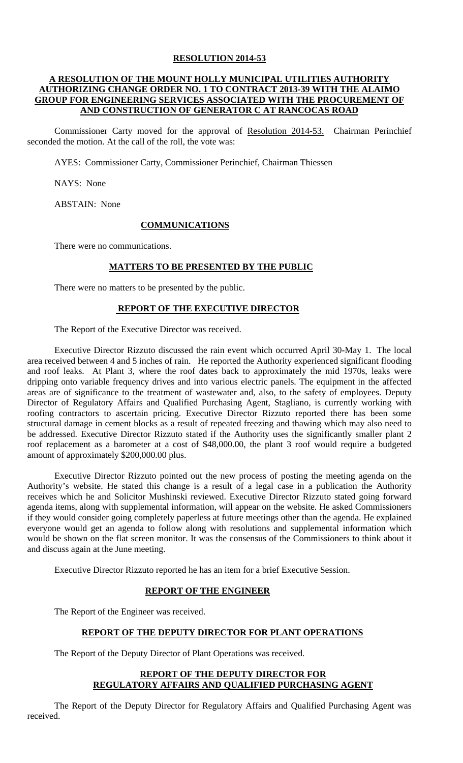## **RESOLUTION 2014-53**

# **A RESOLUTION OF THE MOUNT HOLLY MUNICIPAL UTILITIES AUTHORITY AUTHORIZING CHANGE ORDER NO. 1 TO CONTRACT 2013-39 WITH THE ALAIMO GROUP FOR ENGINEERING SERVICES ASSOCIATED WITH THE PROCUREMENT OF AND CONSTRUCTION OF GENERATOR C AT RANCOCAS ROAD**

Commissioner Carty moved for the approval of Resolution 2014-53. Chairman Perinchief seconded the motion. At the call of the roll, the vote was:

AYES: Commissioner Carty, Commissioner Perinchief, Chairman Thiessen

NAYS: None

ABSTAIN: None

#### **COMMUNICATIONS**

There were no communications.

#### **MATTERS TO BE PRESENTED BY THE PUBLIC**

There were no matters to be presented by the public.

#### **REPORT OF THE EXECUTIVE DIRECTOR**

The Report of the Executive Director was received.

 Executive Director Rizzuto discussed the rain event which occurred April 30-May 1. The local area received between 4 and 5 inches of rain. He reported the Authority experienced significant flooding and roof leaks. At Plant 3, where the roof dates back to approximately the mid 1970s, leaks were dripping onto variable frequency drives and into various electric panels. The equipment in the affected areas are of significance to the treatment of wastewater and, also, to the safety of employees. Deputy Director of Regulatory Affairs and Qualified Purchasing Agent, Stagliano, is currently working with roofing contractors to ascertain pricing. Executive Director Rizzuto reported there has been some structural damage in cement blocks as a result of repeated freezing and thawing which may also need to be addressed. Executive Director Rizzuto stated if the Authority uses the significantly smaller plant 2 roof replacement as a barometer at a cost of \$48,000.00, the plant 3 roof would require a budgeted amount of approximately \$200,000.00 plus.

Executive Director Rizzuto pointed out the new process of posting the meeting agenda on the Authority's website. He stated this change is a result of a legal case in a publication the Authority receives which he and Solicitor Mushinski reviewed. Executive Director Rizzuto stated going forward agenda items, along with supplemental information, will appear on the website. He asked Commissioners if they would consider going completely paperless at future meetings other than the agenda. He explained everyone would get an agenda to follow along with resolutions and supplemental information which would be shown on the flat screen monitor. It was the consensus of the Commissioners to think about it and discuss again at the June meeting.

Executive Director Rizzuto reported he has an item for a brief Executive Session.

## **REPORT OF THE ENGINEER**

The Report of the Engineer was received.

#### **REPORT OF THE DEPUTY DIRECTOR FOR PLANT OPERATIONS**

The Report of the Deputy Director of Plant Operations was received.

### **REPORT OF THE DEPUTY DIRECTOR FOR REGULATORY AFFAIRS AND QUALIFIED PURCHASING AGENT**

 The Report of the Deputy Director for Regulatory Affairs and Qualified Purchasing Agent was received.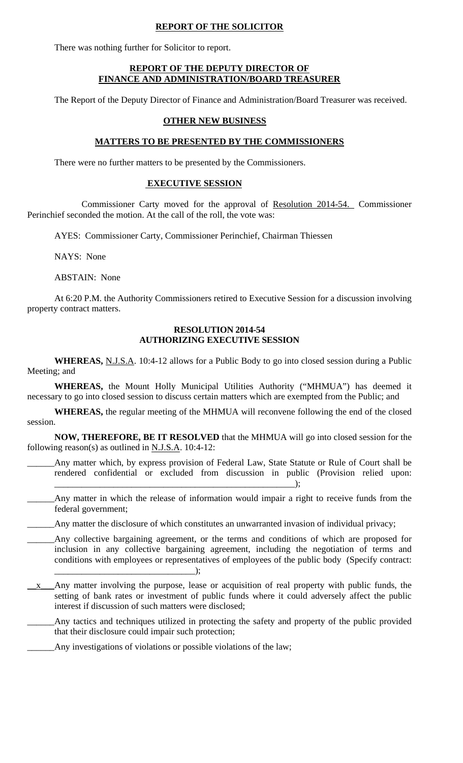# **REPORT OF THE SOLICITOR**

There was nothing further for Solicitor to report.

### **REPORT OF THE DEPUTY DIRECTOR OF FINANCE AND ADMINISTRATION/BOARD TREASURER**

The Report of the Deputy Director of Finance and Administration/Board Treasurer was received.

# **OTHER NEW BUSINESS**

# **MATTERS TO BE PRESENTED BY THE COMMISSIONERS**

There were no further matters to be presented by the Commissioners.

# **EXECUTIVE SESSION**

 Commissioner Carty moved for the approval of Resolution 2014-54. Commissioner Perinchief seconded the motion. At the call of the roll, the vote was:

AYES: Commissioner Carty, Commissioner Perinchief, Chairman Thiessen

NAYS: None

ABSTAIN: None

 At 6:20 P.M. the Authority Commissioners retired to Executive Session for a discussion involving property contract matters.

#### **RESOLUTION 2014-54 AUTHORIZING EXECUTIVE SESSION**

**WHEREAS,** N.J.S.A. 10:4-12 allows for a Public Body to go into closed session during a Public Meeting; and

**WHEREAS,** the Mount Holly Municipal Utilities Authority ("MHMUA") has deemed it necessary to go into closed session to discuss certain matters which are exempted from the Public; and

**WHEREAS,** the regular meeting of the MHMUA will reconvene following the end of the closed session.

**NOW, THEREFORE, BE IT RESOLVED** that the MHMUA will go into closed session for the following reason(s) as outlined in N.J.S.A. 10:4-12:

Any matter which, by express provision of Federal Law, State Statute or Rule of Court shall be rendered confidential or excluded from discussion in public (Provision relied upon:  $\hspace{2em}$   $\hspace{2em}$   $\hspace{2em}$   $\hspace{2em}$   $\hspace{2em}$   $\hspace{2em}$   $\hspace{2em}$   $\hspace{2em}$   $\hspace{2em}$   $\hspace{2em}$   $\hspace{2em}$   $\hspace{2em}$   $\hspace{2em}$   $\hspace{2em}$   $\hspace{2em}$   $\hspace{2em}$   $\hspace{2em}$   $\hspace{2em}$   $\hspace{2em}$   $\hspace{2em}$   $\hspace{2em}$   $\hspace{2em}$ 

- Any matter in which the release of information would impair a right to receive funds from the federal government;
- Any matter the disclosure of which constitutes an unwarranted invasion of individual privacy;
- Any collective bargaining agreement, or the terms and conditions of which are proposed for inclusion in any collective bargaining agreement, including the negotiation of terms and conditions with employees or representatives of employees of the public body (Specify contract: \_\_\_\_\_\_\_\_\_\_\_\_\_\_\_\_\_\_\_\_\_\_\_\_\_\_\_\_\_\_\_);
- \_\_x\_\_\_Any matter involving the purpose, lease or acquisition of real property with public funds, the setting of bank rates or investment of public funds where it could adversely affect the public interest if discussion of such matters were disclosed;

Any tactics and techniques utilized in protecting the safety and property of the public provided that their disclosure could impair such protection;

Any investigations of violations or possible violations of the law;